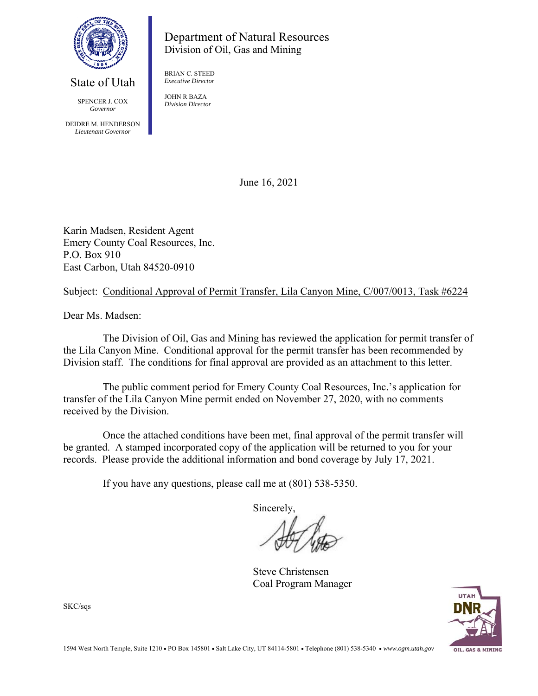

## Department of Natural Resources Division of Oil, Gas and Mining

BRIAN C. STEED *Executive Director* 

 SPENCER J. COX *Governor* 

 DEIDRE M. HENDERSON *Lieutenant Governor* 

State of Utah

JOHN R BAZA *Division Director* 

June 16, 2021

Karin Madsen, Resident Agent Emery County Coal Resources, Inc. P.O. Box 910 East Carbon, Utah 84520-0910

Subject: Conditional Approval of Permit Transfer, Lila Canyon Mine, C/007/0013, Task #6224

Dear Ms. Madsen:

 The Division of Oil, Gas and Mining has reviewed the application for permit transfer of the Lila Canyon Mine. Conditional approval for the permit transfer has been recommended by Division staff. The conditions for final approval are provided as an attachment to this letter.

 The public comment period for Emery County Coal Resources, Inc.'s application for transfer of the Lila Canyon Mine permit ended on November 27, 2020, with no comments received by the Division.

Once the attached conditions have been met, final approval of the permit transfer will be granted. A stamped incorporated copy of the application will be returned to you for your records. Please provide the additional information and bond coverage by July 17, 2021.

If you have any questions, please call me at (801) 538-5350.

Sincerely,

 Steve Christensen Coal Program Manager



SKC/sqs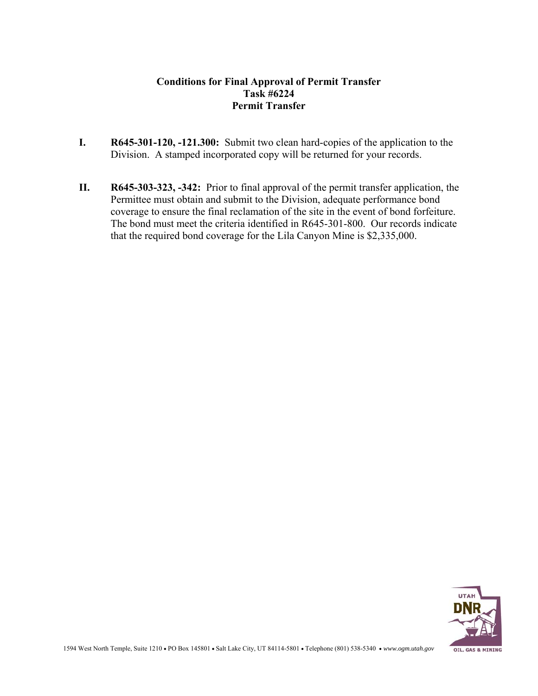#### **Conditions for Final Approval of Permit Transfer Task #6224 Permit Transfer**

- **I. R645-301-120, -121.300:** Submit two clean hard-copies of the application to the Division. A stamped incorporated copy will be returned for your records.
- **II. R645-303-323, -342:** Prior to final approval of the permit transfer application, the Permittee must obtain and submit to the Division, adequate performance bond coverage to ensure the final reclamation of the site in the event of bond forfeiture. The bond must meet the criteria identified in R645-301-800. Our records indicate that the required bond coverage for the Lila Canyon Mine is \$2,335,000.

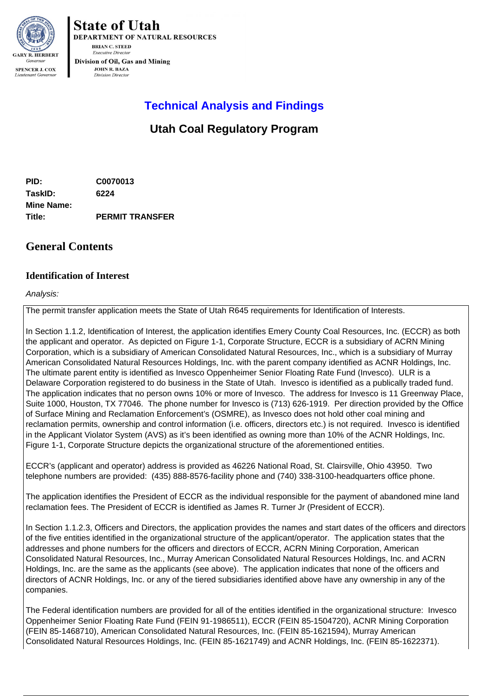

**State of Utah** DEPARTMENT OF NATURAL RESOURCES **BRIAN C. STEED Executive Directo** Division of Oil, Gas and Mining

> **JOHN R. BAZA Division Director**

# **Technical Analysis and Findings**

# **Utah Coal Regulatory Program**

**PID: C0070013 TaskID: 6224 Mine Name: Title: PERMIT TRANSFER**

## **General Contents**

### **Identification of Interest**

#### Analysis:

The permit transfer application meets the State of Utah R645 requirements for Identification of Interests.

In Section 1.1.2, Identification of Interest, the application identifies Emery County Coal Resources, Inc. (ECCR) as both the applicant and operator. As depicted on Figure 1-1, Corporate Structure, ECCR is a subsidiary of ACRN Mining Corporation, which is a subsidiary of American Consolidated Natural Resources, Inc., which is a subsidiary of Murray American Consolidated Natural Resources Holdings, Inc. with the parent company identified as ACNR Holdings, Inc. The ultimate parent entity is identified as Invesco Oppenheimer Senior Floating Rate Fund (Invesco). ULR is a Delaware Corporation registered to do business in the State of Utah. Invesco is identified as a publically traded fund. The application indicates that no person owns 10% or more of Invesco. The address for Invesco is 11 Greenway Place, Suite 1000, Houston, TX 77046. The phone number for Invesco is (713) 626-1919. Per direction provided by the Office of Surface Mining and Reclamation Enforcement's (OSMRE), as Invesco does not hold other coal mining and reclamation permits, ownership and control information (i.e. officers, directors etc.) is not required. Invesco is identified in the Applicant Violator System (AVS) as it's been identified as owning more than 10% of the ACNR Holdings, Inc. Figure 1-1, Corporate Structure depicts the organizational structure of the aforementioned entities.

ECCR's (applicant and operator) address is provided as 46226 National Road, St. Clairsville, Ohio 43950. Two telephone numbers are provided: (435) 888-8576-facility phone and (740) 338-3100-headquarters office phone.

The application identifies the President of ECCR as the individual responsible for the payment of abandoned mine land reclamation fees. The President of ECCR is identified as James R. Turner Jr (President of ECCR).

In Section 1.1.2.3, Officers and Directors, the application provides the names and start dates of the officers and directors of the five entities identified in the organizational structure of the applicant/operator. The application states that the addresses and phone numbers for the officers and directors of ECCR, ACRN Mining Corporation, American Consolidated Natural Resources, Inc., Murray American Consolidated Natural Resources Holdings, Inc. and ACRN Holdings, Inc. are the same as the applicants (see above). The application indicates that none of the officers and directors of ACNR Holdings, Inc. or any of the tiered subsidiaries identified above have any ownership in any of the companies.

The Federal identification numbers are provided for all of the entities identified in the organizational structure: Invesco Oppenheimer Senior Floating Rate Fund (FEIN 91-1986511), ECCR (FEIN 85-1504720), ACNR Mining Corporation (FEIN 85-1468710), American Consolidated Natural Resources, Inc. (FEIN 85-1621594), Murray American Consolidated Natural Resources Holdings, Inc. (FEIN 85-1621749) and ACNR Holdings, Inc. (FEIN 85-1622371).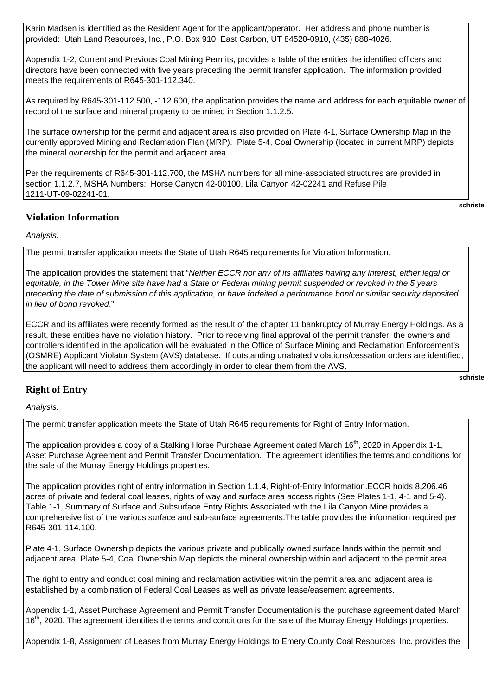Karin Madsen is identified as the Resident Agent for the applicant/operator. Her address and phone number is provided: Utah Land Resources, Inc., P.O. Box 910, East Carbon, UT 84520-0910, (435) 888-4026.

Appendix 1-2, Current and Previous Coal Mining Permits, provides a table of the entities the identified officers and directors have been connected with five years preceding the permit transfer application. The information provided meets the requirements of R645-301-112.340.

As required by R645-301-112.500, -112.600, the application provides the name and address for each equitable owner of record of the surface and mineral property to be mined in Section 1.1.2.5.

The surface ownership for the permit and adjacent area is also provided on Plate 4-1, Surface Ownership Map in the currently approved Mining and Reclamation Plan (MRP). Plate 5-4, Coal Ownership (located in current MRP) depicts the mineral ownership for the permit and adjacent area.

Per the requirements of R645-301-112.700, the MSHA numbers for all mine-associated structures are provided in section 1.1.2.7, MSHA Numbers: Horse Canyon 42-00100, Lila Canyon 42-02241 and Refuse Pile 1211-UT-09-02241-01.

#### **Violation Information**

**schriste** 

**schriste** 

#### Analysis:

The permit transfer application meets the State of Utah R645 requirements for Violation Information.

The application provides the statement that "Neither ECCR nor any of its affiliates having any interest, either legal or equitable, in the Tower Mine site have had a State or Federal mining permit suspended or revoked in the 5 years preceding the date of submission of this application, or have forfeited a performance bond or similar security deposited in lieu of bond revoked."

ECCR and its affiliates were recently formed as the result of the chapter 11 bankruptcy of Murray Energy Holdings. As a result, these entities have no violation history. Prior to receiving final approval of the permit transfer, the owners and controllers identified in the application will be evaluated in the Office of Surface Mining and Reclamation Enforcement's (OSMRE) Applicant Violator System (AVS) database. If outstanding unabated violations/cessation orders are identified, the applicant will need to address them accordingly in order to clear them from the AVS.

### **Right of Entry**

Analysis:

The permit transfer application meets the State of Utah R645 requirements for Right of Entry Information.

The application provides a copy of a Stalking Horse Purchase Agreement dated March 16<sup>th</sup>, 2020 in Appendix 1-1, Asset Purchase Agreement and Permit Transfer Documentation. The agreement identifies the terms and conditions for the sale of the Murray Energy Holdings properties.

The application provides right of entry information in Section 1.1.4, Right-of-Entry Information.ECCR holds 8,206.46 acres of private and federal coal leases, rights of way and surface area access rights (See Plates 1-1, 4-1 and 5-4). Table 1-1, Summary of Surface and Subsurface Entry Rights Associated with the Lila Canyon Mine provides a comprehensive list of the various surface and sub-surface agreements.The table provides the information required per R645-301-114.100.

Plate 4-1, Surface Ownership depicts the various private and publically owned surface lands within the permit and adjacent area. Plate 5-4, Coal Ownership Map depicts the mineral ownership within and adjacent to the permit area.

The right to entry and conduct coal mining and reclamation activities within the permit area and adjacent area is established by a combination of Federal Coal Leases as well as private lease/easement agreements.

Appendix 1-1, Asset Purchase Agreement and Permit Transfer Documentation is the purchase agreement dated March 16<sup>th</sup>, 2020. The agreement identifies the terms and conditions for the sale of the Murray Energy Holdings properties.

Appendix 1-8, Assignment of Leases from Murray Energy Holdings to Emery County Coal Resources, Inc. provides the